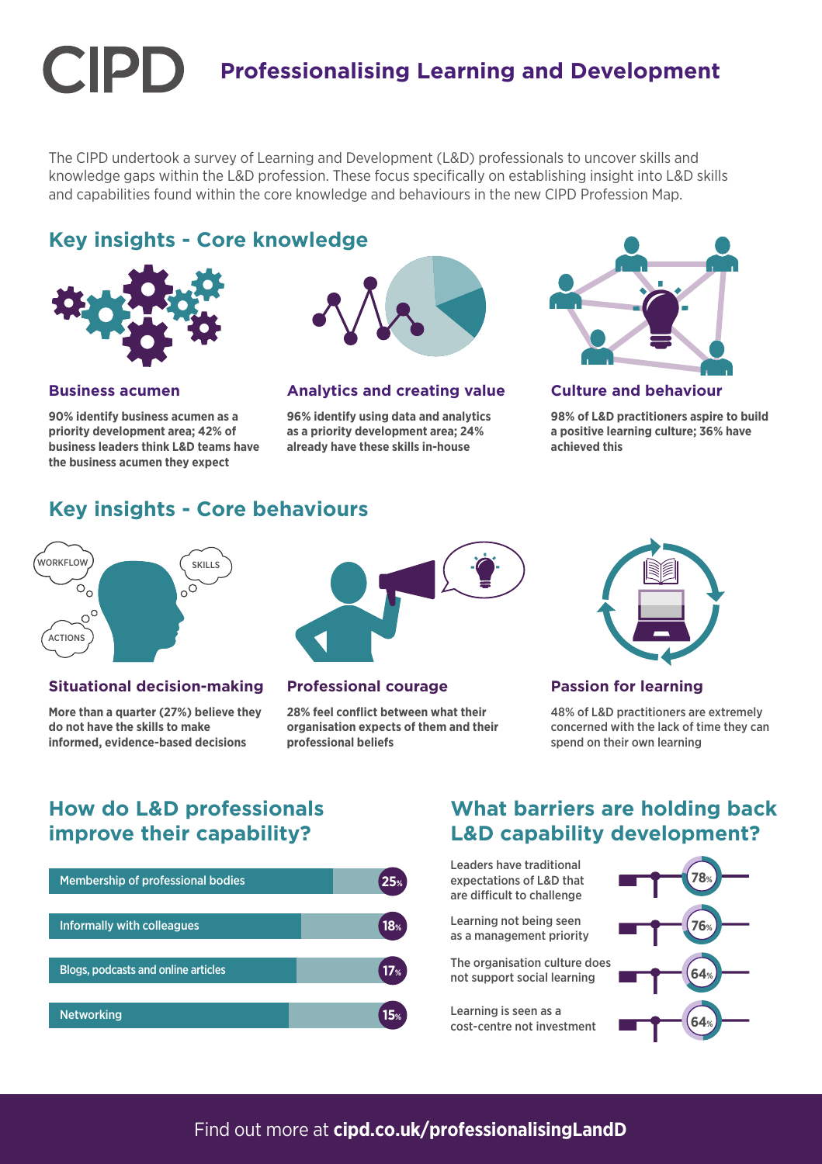# **Professionalising Learning and Development**

The CIPD undertook a survey of Learning and Development (L&D) professionals to uncover skills and knowledge gaps within the L&D profession. These focus specifically on establishing insight into L&D skills and capabilities found within the core knowledge and behaviours in the new CIPD Profession Map.

# **Key insights - Core knowledge**



**Business acumen**

**90% identify business acumen as a priority development area; 42% of business leaders think L&D teams have the business acumen they expect**



#### **Analytics and creating value**

**96% identify using data and analytics as a priority development area; 24% already have these skills in-house**



#### **Culture and behaviour**

**98% of L&D practitioners aspire to build a positive learning culture; 36% have achieved this**

# **Key insights - Core behaviours**



#### **Situational decision-making**

**More than a quarter (27%) believe they do not have the skills to make informed, evidence-based decisions**



#### **Professional courage**

**28% feel conflict between what their organisation expects of them and their professional beliefs**



#### **Passion for learning**

48% of L&D practitioners are extremely concerned with the lack of time they can spend on their own learning

# **How do L&D professionals improve their capability?**



### **What barriers are holding back L&D capability development?**

Leaders have traditional expectations of L&D that are difficult to challenge

Learning not being seen as a management priority

The organisation culture does not support social learning

Learning is seen as a cost-centre not investment